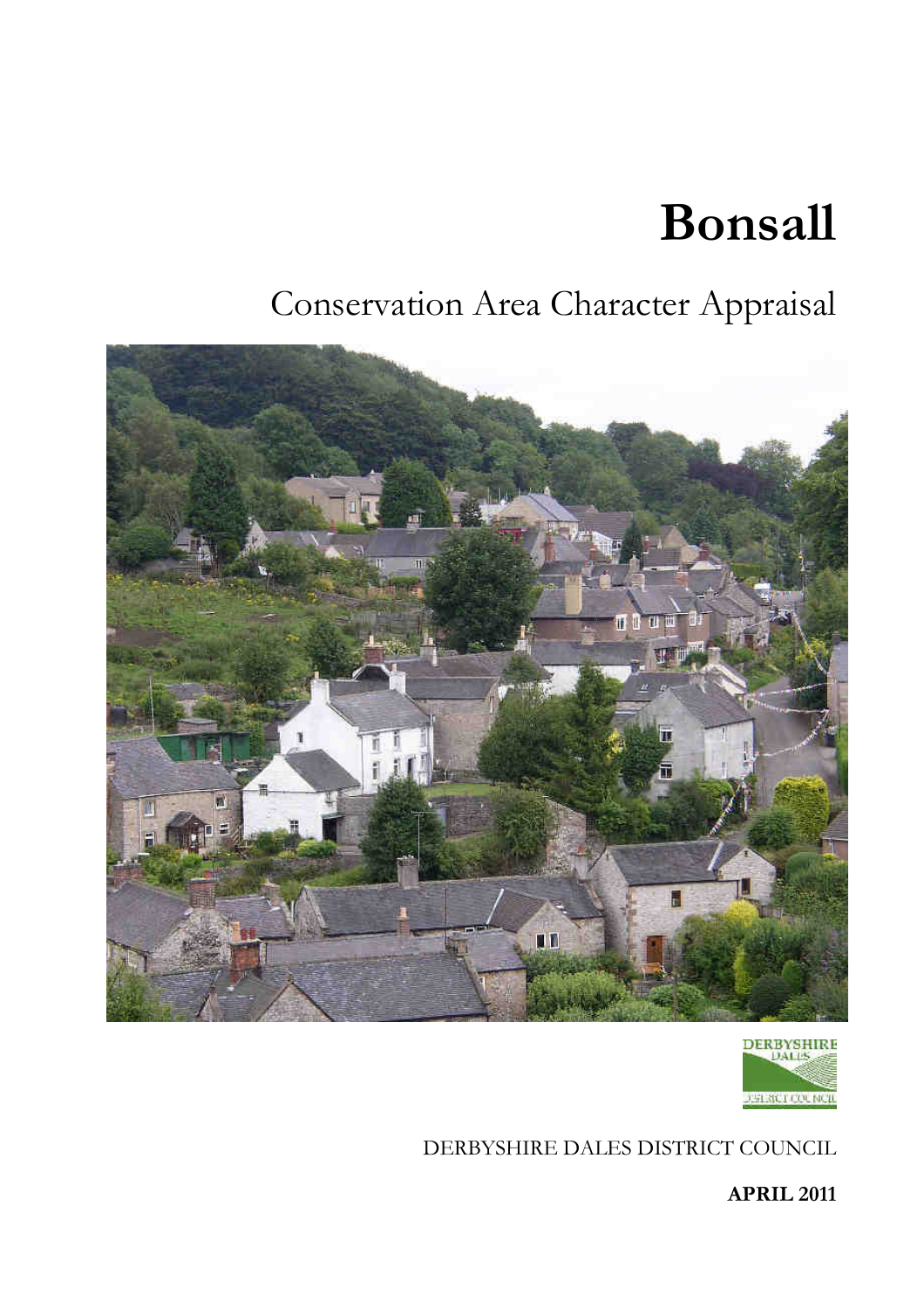# **Bonsall**

# Conservation Area Character Appraisal





DERBYSHIRE DALES DISTRICT COUNCIL

**APRIL 2011**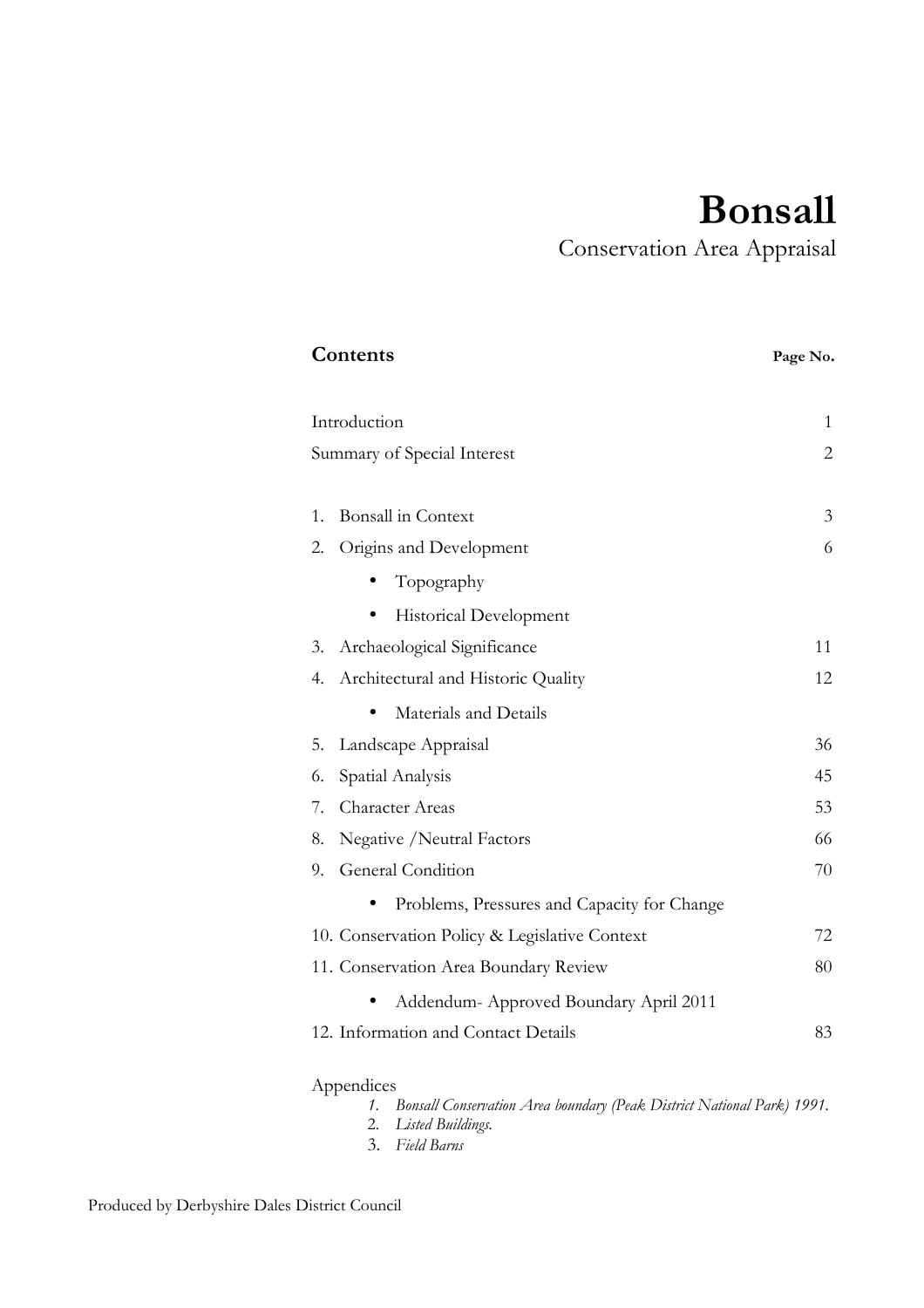# **Bonsall**

Conservation Area Appraisal

| Contents                                      | Page No.       |
|-----------------------------------------------|----------------|
| Introduction                                  | 1              |
| Summary of Special Interest                   | $\overline{2}$ |
|                                               |                |
| <b>Bonsall</b> in Context<br>1.               | 3              |
| Origins and Development<br>2.                 | 6              |
| Topography                                    |                |
| Historical Development                        |                |
| Archaeological Significance<br>3.             | 11             |
| Architectural and Historic Quality<br>4.      | 12             |
| Materials and Details                         |                |
| Landscape Appraisal<br>5.                     | 36             |
| Spatial Analysis<br>6.                        | 45             |
| Character Areas<br>7.                         | 53             |
| Negative / Neutral Factors<br>8.              | 66             |
| General Condition<br>9.                       | 70             |
| Problems, Pressures and Capacity for Change   |                |
| 10. Conservation Policy & Legislative Context | 72             |
| 11. Conservation Area Boundary Review         | 80             |
| Addendum- Approved Boundary April 2011        |                |
| 12. Information and Contact Details           | 83             |
|                                               |                |

## Appendices

- *1. Bonsall Conservation Area boundary (Peak District National Park) 1991.*
- 2. *Listed Buildings.*
- 3. *Field Barns*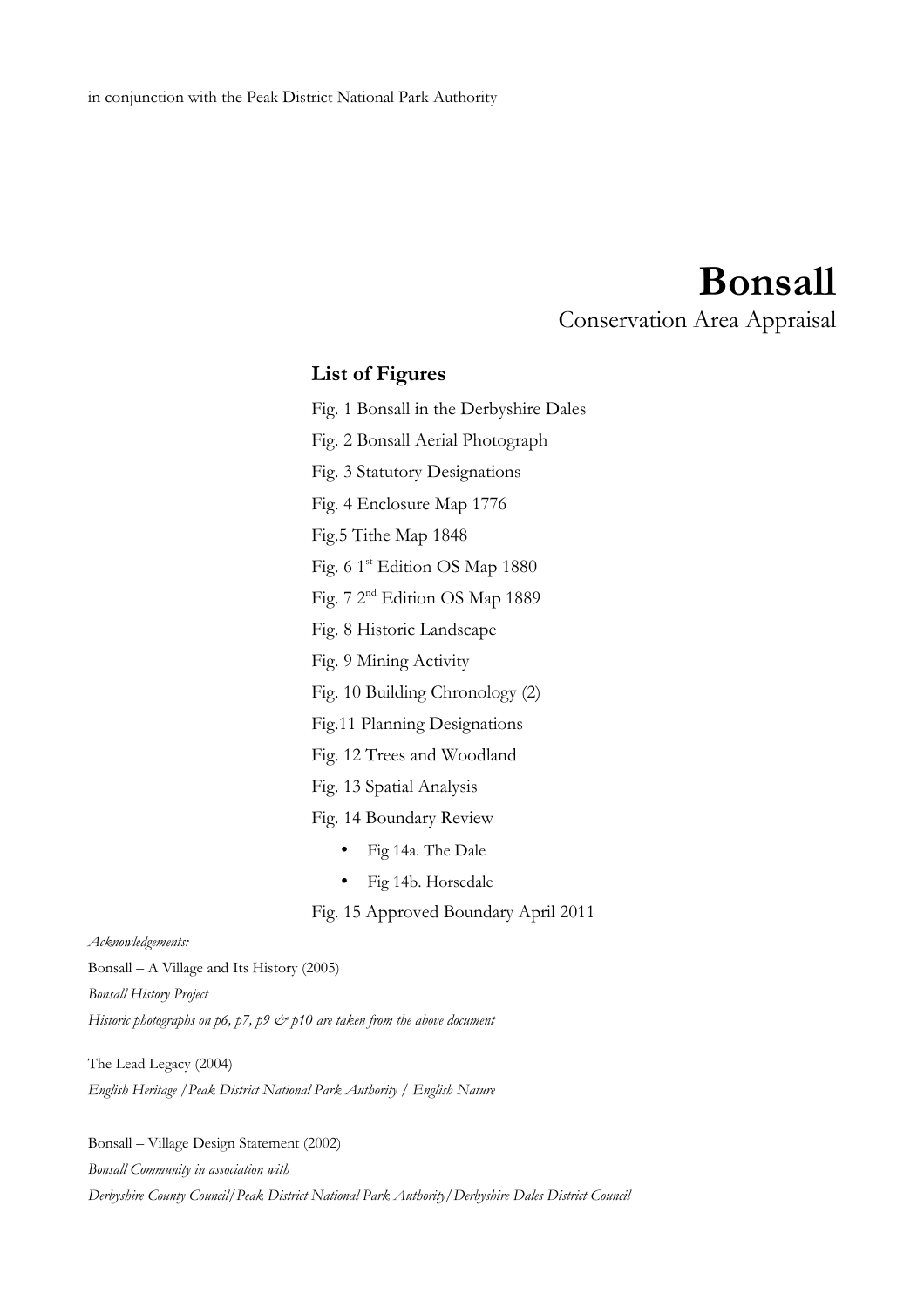# **Bonsall**

Conservation Area Appraisal

# **List of Figures**

Fig. 1 Bonsall in the Derbyshire Dales

Fig. 2 Bonsall Aerial Photograph

Fig. 3 Statutory Designations

Fig. 4 Enclosure Map 1776

Fig.5 Tithe Map 1848

Fig. 6 1<sup>st</sup> Edition OS Map 1880

Fig. 7 2nd Edition OS Map 1889

Fig. 8 Historic Landscape

Fig. 9 Mining Activity

Fig. 10 Building Chronology (2)

Fig.11 Planning Designations

Fig. 12 Trees and Woodland

Fig. 13 Spatial Analysis

Fig. 14 Boundary Review

• Fig 14a. The Dale

• Fig 14b. Horsedale

Fig. 15 Approved Boundary April 2011

### *Acknowledgements:*

Bonsall – A Village and Its History (2005) *Bonsall History Project Historic photographs on p6, p7, p9*  $\dot{\mathcal{O}}$  *p10 are taken from the above document* 

The Lead Legacy (2004) *English Heritage /Peak District National Park Authority / English Nature*

Bonsall – Village Design Statement (2002)

*Bonsall Community in association with*

*Derbyshire County Council/Peak District National Park Authority/Derbyshire Dales District Council*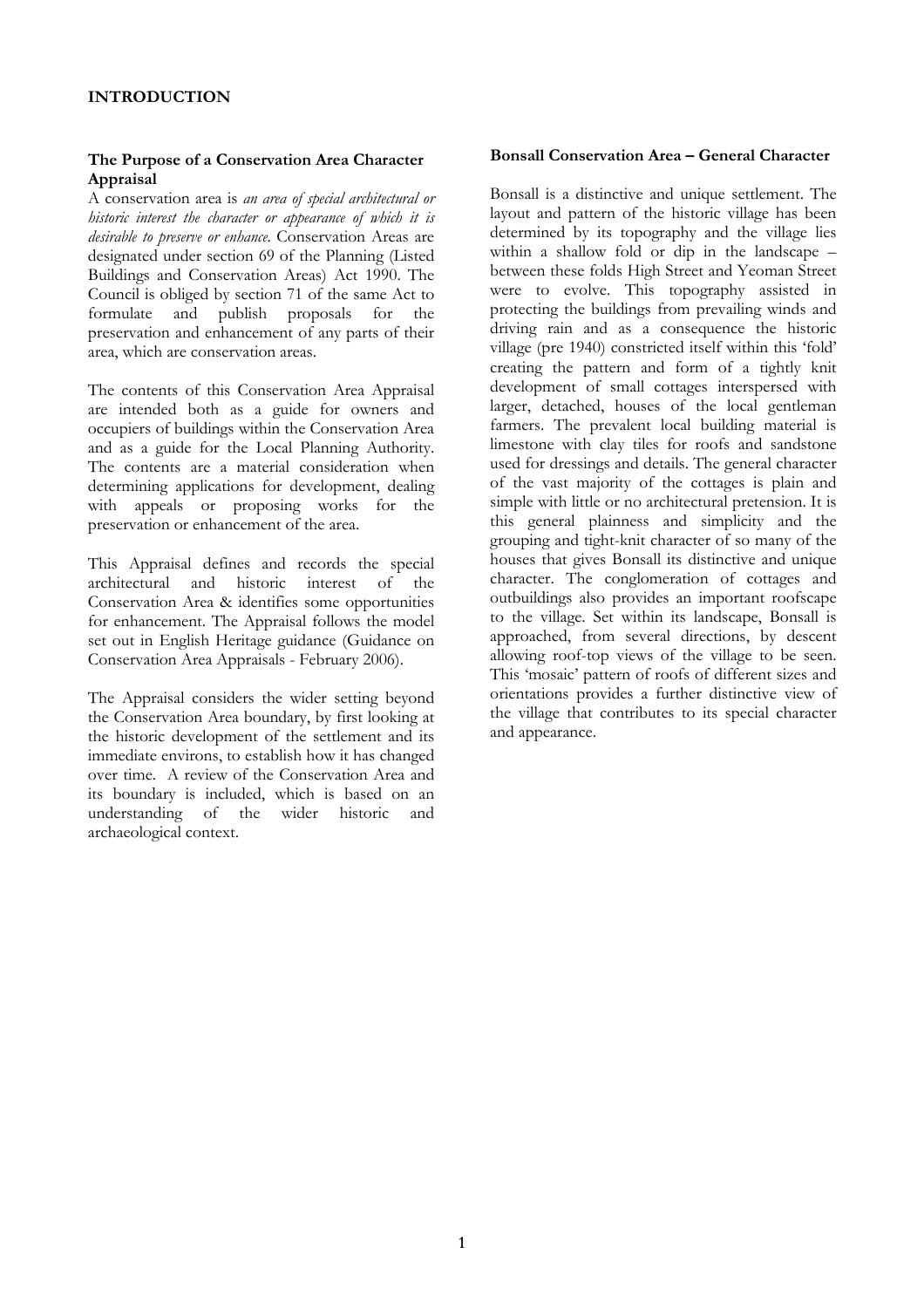### **The Purpose of a Conservation Area Character Appraisal**

A conservation area is *an area of special architectural or historic interest the character or appearance of which it is desirable to preserve or enhance.* Conservation Areas are designated under section 69 of the Planning (Listed Buildings and Conservation Areas) Act 1990. The Council is obliged by section 71 of the same Act to formulate and publish proposals for the preservation and enhancement of any parts of their area, which are conservation areas.

The contents of this Conservation Area Appraisal are intended both as a guide for owners and occupiers of buildings within the Conservation Area and as a guide for the Local Planning Authority. The contents are a material consideration when determining applications for development, dealing with appeals or proposing works for the preservation or enhancement of the area.

This Appraisal defines and records the special architectural and historic interest of the Conservation Area & identifies some opportunities for enhancement. The Appraisal follows the model set out in English Heritage guidance (Guidance on Conservation Area Appraisals - February 2006).

The Appraisal considers the wider setting beyond the Conservation Area boundary, by first looking at the historic development of the settlement and its immediate environs, to establish how it has changed over time. A review of the Conservation Area and its boundary is included, which is based on an understanding of the wider historic and of the wider historic and archaeological context.

#### **Bonsall Conservation Area – General Character**

Bonsall is a distinctive and unique settlement. The layout and pattern of the historic village has been determined by its topography and the village lies within a shallow fold or dip in the landscape – between these folds High Street and Yeoman Street were to evolve. This topography assisted in protecting the buildings from prevailing winds and driving rain and as a consequence the historic village (pre 1940) constricted itself within this 'fold' creating the pattern and form of a tightly knit development of small cottages interspersed with larger, detached, houses of the local gentleman farmers. The prevalent local building material is limestone with clay tiles for roofs and sandstone used for dressings and details. The general character of the vast majority of the cottages is plain and simple with little or no architectural pretension. It is this general plainness and simplicity and the grouping and tight-knit character of so many of the houses that gives Bonsall its distinctive and unique character. The conglomeration of cottages and outbuildings also provides an important roofscape to the village. Set within its landscape, Bonsall is approached, from several directions, by descent allowing roof-top views of the village to be seen. This 'mosaic' pattern of roofs of different sizes and orientations provides a further distinctive view of the village that contributes to its special character and appearance.